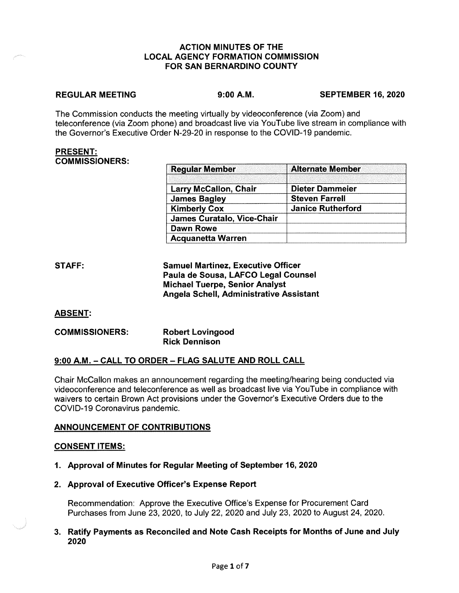## **ACTION MINUTES OF THE LOCAL AGENCY FORMATION COMMISSION FOR SAN BERNARDINO COUNTY**

### **REGULAR MEETING**

**9:00 A.M. SEPTEMBER 16, 2020** 

The Commission conducts the meeting virtually by videoconference (via Zoom) and teleconference (via Zoom phone) and broadcast live via YouTube live stream in compliance with the Governor's Executive Order N-29-20 in response to the COVID-19 pandemic.

### **PRESENT: COMMISSIONERS:**

| <b>Regular Member</b>             | <b>Alternate Member</b>  |
|-----------------------------------|--------------------------|
|                                   |                          |
| <b>Larry McCallon, Chair</b>      | Dieter Dammeier          |
| <b>James Bagley</b>               | <b>Steven Farrell</b>    |
| <b>Kimberly Cox</b>               | <b>Janice Rutherford</b> |
| <b>James Curatalo, Vice-Chair</b> |                          |
| <b>Dawn Rowe</b>                  |                          |
| <b>Acquanetta Warren</b>          |                          |

| STAFF: | <b>Samuel Martinez, Executive Officer</b> |
|--------|-------------------------------------------|
|        | Paula de Sousa, LAFCO Legal Counsel       |
|        | <b>Michael Tuerpe, Senior Analyst</b>     |
|        | Angela Schell, Administrative Assistant   |

# **ABSENT:**

| <b>COMMISSIONERS:</b> | <b>Robert Lovingood</b> |
|-----------------------|-------------------------|
|                       | <b>Rick Dennison</b>    |

# **9:00 A.M.** - **CALL TO ORDER** - **FLAG SALUTE AND ROLL CALL**

Chair Mccallon makes an announcement regarding the meeting/hearing being conducted via videoconference and teleconference as well as broadcast live via YouTube in compliance with waivers to certain Brown Act provisions under the Governor's Executive Orders due to the COVID-19 Coronavirus pandemic.

# **ANNOUNCEMENT OF CONTRIBUTIONS**

## **CONSENT ITEMS:**

- **1. Approval of Minutes for Regular Meeting of September 16, 2020**
- **2. Approval of Executive Officer's Expense Report**

Recommendation: Approve the Executive Office's Expense for Procurement Card Purchases from June 23, 2020, to July 22, 2020 and July 23, 2020 to August 24, 2020.

**3. Ratify Payments as Reconciled and Note Cash Receipts for Months of June and July 2020**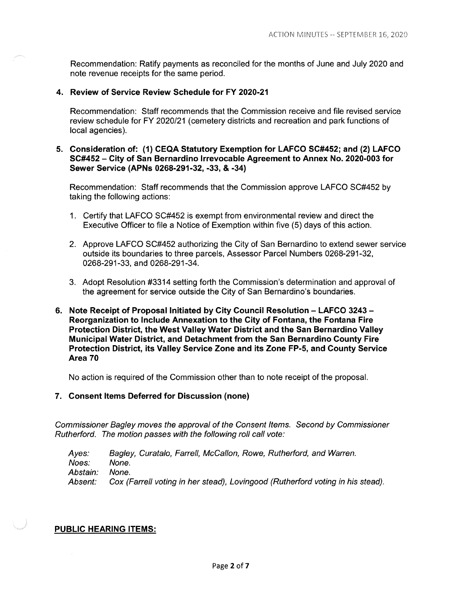Recommendation: Ratify payments as reconciled for the months of June and July 2020 and note revenue receipts for the same period.

## **4. Review of Service Review Schedule for FY 2020-21**

Recommendation: Staff recommends that the Commission receive and file revised service review schedule for FY 2020/21 (cemetery districts and recreation and park functions of local agencies).

## **5. Consideration of: (1) CEQA Statutory Exemption for LAFCO SC#452; and (2) LAFCO SC#452 - City of San Bernardino Irrevocable Agreement to Annex No. 2020-003 for Sewer Service (APNs 0268-291-32, -33, & -34)**

Recommendation: Staff recommends that the Commission approve LAFCO SC#452 by taking the following actions:

- 1. Certify that LAFCO SC#452 is exempt from environmental review and direct the Executive Officer to file a Notice of Exemption within five (5) days of this action.
- 2. Approve LAFCO SC#452 authorizing the City of San Bernardino to extend sewer service outside its boundaries to three parcels, Assessor Parcel Numbers 0268-291-32, 0268-291-33, and 0268-291-34.
- 3. Adopt Resolution #3314 setting forth the Commission's determination and approval of the agreement for service outside the City of San Bernardino's boundaries.
- **6. Note Receipt of Proposal Initiated by City Council Resolution - LAFCO 3243 Reorganization to Include Annexation to the City of Fontana, the Fontana Fire Protection District, the West Valley Water District and the San Bernardino Valley Municipal Water District, and Detachment from the San Bernardino County Fire Protection District, its Valley Service Zone and its Zone FP-5, and County Service Area 70**

No action is required of the Commission other than to note receipt of the proposal.

## **7. Consent Items Deferred for Discussion (none)**

Commissioner Bagley moves the approval of the Consent Items. Second by Commissioner Rutherford. The motion passes with the following roll call vote:

Ayes: Noes: Abstain: Absent: Bagley, Curatalo, Farrell, McCallon, Rowe, Rutherford, and Warren. None. None. Cox (Farrell voting in her stead), Lovingood (Rutherford voting in his stead).

## **PUBLIC HEARING ITEMS:**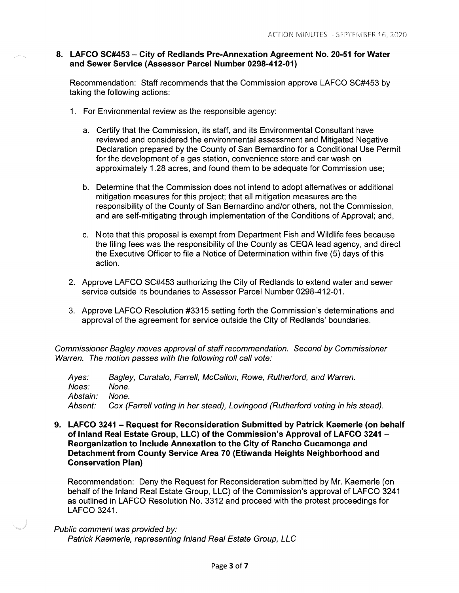## **8. LAFCO SC#453 - City of Redlands Pre-Annexation Agreement No. 20-51 for Water and Sewer Service (Assessor Parcel Number 0298-412-01)**

Recommendation: Staff recommends that the Commission approve LAFCO SC#453 by taking the following actions:

- 1. For Environmental review as the responsible agency:
	- a. Certify that the Commission, its staff, and its Environmental Consultant have reviewed and considered the environmental assessment and Mitigated Negative Declaration prepared by the County of San Bernardino for a Conditional Use Permit for the development of a gas station, convenience store and car wash on approximately 1.28 acres, and found them to be adequate for Commission use;
	- b. Determine that the Commission does not intend to adopt alternatives or additional mitigation measures for this project; that all mitigation measures are the responsibility of the County of San Bernardino and/or others, not the Commission, and are self-mitigating through implementation of the Conditions of Approval; and,
	- c. Note that this proposal is exempt from Department Fish and Wildlife fees because the filing fees was the responsibility of the County as CEQA lead agency, and direct the Executive Officer to file a Notice of Determination within five (5) days of this action.
- 2. Approve LAFCO SC#453 authorizing the City of Redlands to extend water and sewer service outside its boundaries to Assessor Parcel Number 0298-412-01.
- 3. Approve LAFCO Resolution #3315 setting forth the Commission's determinations and approval of the agreement for service outside the City of Redlands' boundaries.

Commissioner Bagley moves approval of staff recommendation. Second by Commissioner Warren. The motion passes with the following roll call vote:

Ayes: Noes: Abstain: Absent: Bagley, Curatalo, Farrell, McCallon, Rowe, Rutherford, and Warren. None. None. Cox (Farrell voting in her stead), Lovingood (Rutherford voting in his stead).

**9. LAFCO 3241 - Request for Reconsideration Submitted by Patrick Kaemerle (on behalf of Inland Real Estate Group, LLC) of the Commission's Approval of LAFCO 3241** - **Reorganization to Include Annexation to the City of Rancho Cucamonga and Detachment from County Service Area 70 (Etiwanda Heights Neighborhood and Conservation Plan)** 

Recommendation: Deny the Request for Reconsideration submitted by Mr. Kaemerle (on behalf of the Inland Real Estate Group, LLC) of the Commission's approval of LAFCO 3241 as outlined in LAFCO Resolution No. 3312 and proceed with the protest proceedings for LAFCO 3241.

Public comment was provided by: Patrick Kaemerle, representing Inland Real Estate Group, LLC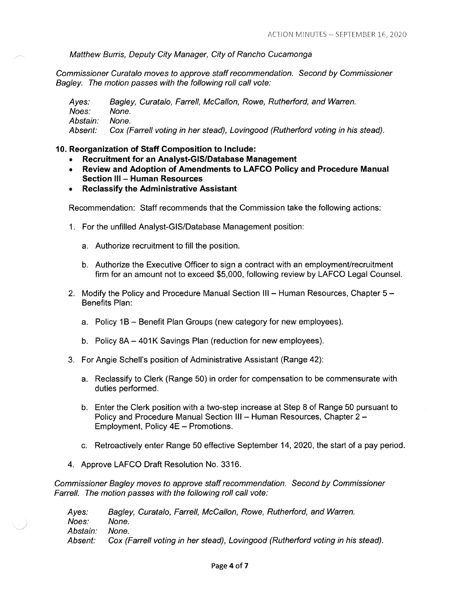Matthew Burris, Deputy City Manager, City of Rancho Cucamonga

Commissioner Curatalo moves to approve staff recommendation. Second by Commissioner Bagley. The motion passes with the following roll call vote:

Ayes: Noes: Abstain: Absent: Bagley, Curatalo, Farrell, McCallon, Rowe, Rutherford, and Warren. None. None. Cox (Farrell voting in her stead), Lovingood (Rutherford voting in his stead).

#### **10. Reorganization of Staff Composition to Include:**

- **Recruitment for an Analyst-GIS/Database Management**
- **Review and Adoption of Amendments to LAFCO Policy and Procedure Manual Section** Ill - **Human Resources**
- **Reclassify the Administrative Assistant**

Recommendation: Staff recommends that the Commission take the following actions:

- 1. For the unfilled Analyst-GIS/Database Management position:
	- a. Authorize recruitment to fill the position.
	- b. Authorize the Executive Officer to sign a contract with an employment/recruitment firm for an amount not to exceed \$5,000, following review by LAFCO Legal Counsel.
- 2. Modify the Policy and Procedure Manual Section III Human Resources, Chapter  $5 -$ Benefits Plan:
	- a. Policy 1B Benefit Plan Groups (new category for new employees).
	- b. Policy 8A 401K Savings Plan (reduction for new employees).
- 3. For Angie Schell's position of Administrative Assistant (Range 42):
	- a. Reclassify to Clerk (Range 50) in order for compensation to be commensurate with duties performed.
	- b. Enter the Clerk position with a two-step increase at Step 8 of Range 50 pursuant to Policy and Procedure Manual Section III - Human Resources, Chapter 2 -Employment, Policy 4E - Promotions.
	- c. Retroactively enter Range 50 effective September 14, 2020, the start of a pay period.
- 4. Approve LAFCO Draft Resolution No. 3316.

Commissioner Bagley moves to approve staff recommendation. Second by Commissioner Farrell. The motion passes with the following roll call vote:

Ayes: Noes: Abstain: Absent: Bagley, Curatalo, Farrell, McCallon, Rowe, Rutherford, and Warren. None. None. Cox (Farrell voting in her stead), Lovingood (Rutherford voting in his stead).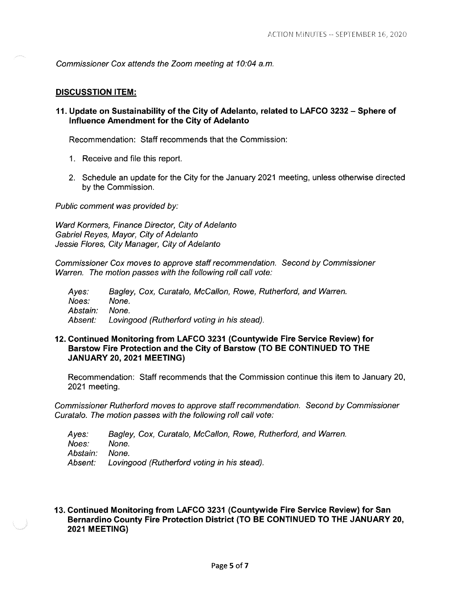Commissioner Cox attends the Zoom meeting at 10:04 a.m.

#### **DISCUSSTION ITEM:**

**11. Update on Sustainability of the City of Adelanto, related to LAFCO 3232 - Sphere of Influence Amendment for the City of Adelanto** 

Recommendation: Staff recommends that the Commission:

- 1. Receive and file this report.
- 2. Schedule an update for the City for the January 2021 meeting, unless otherwise directed by the Commission.

Public comment was provided by:

Ward Kormers, Finance Director, City of Adelanto Gabriel Reyes, Mayor, City of Adelanto Jessie Flores, City Manager, City of Adelanto

Commissioner Cox moves to approve staff recommendation. Second by Commissioner Warren. The motion passes with the following roll call vote:

Ayes: Noes: Abstain: Absent: Bagley, Cox, Curatalo, McCallon, Rowe, Rutherford, and Warren. None. None. Lovingood (Rutherford voting in his stead).

## **12. Continued Monitoring from LAFCO 3231 (Countywide Fire Service Review) for Barstow Fire Protection and the City of Barstow (TO BE CONTINUED TO THE JANUARY 20, 2021 MEETING)**

Recommendation: Staff recommends that the Commission continue this item to January 20, 2021 meeting.

Commissioner Rutherford moves to approve staff recommendation. Second by Commissioner Curatalo. The motion passes with the following roll call vote:

Ayes: Noes: Abstain: Absent: Bagley, Cox, Curatalo, McCallon, Rowe, Rutherford, and Warren. None. None. Lovingood (Rutherford voting in his stead).

## **13. Continued Monitoring from LAFCO 3231 (Countywide Fire Service Review) for San Bernardino County Fire Protection District (TO BE CONTINUED TO THE JANUARY 20, 2021 MEETING)**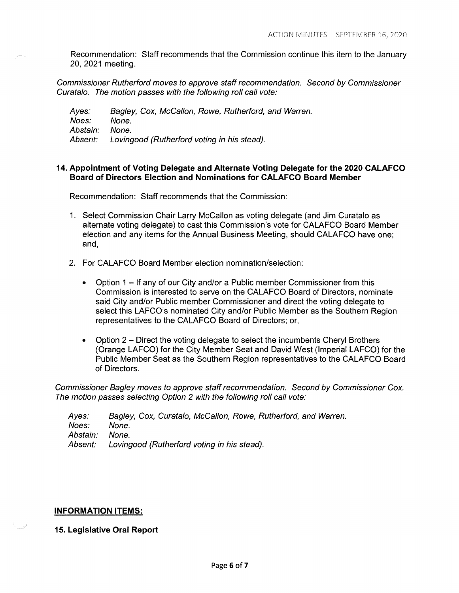Recommendation: Staff recommends that the Commission continue this item to the January 20, 2021 meeting.

Commissioner Rutherford moves to approve staff recommendation. Second by Commissioner Curatalo. The motion passes with the following roll call vote:

Ayes: Noes: Abstain: Absent: Bagley, Cox, McCallon, Rowe, Rutherford, and Warren. None. None. Lovingood (Rutherford voting in his stead).

## **14. Appointment of Voting Delegate and Alternate Voting Delegate for the 2020 CALAFCO Board of Directors Election and Nominations for CALAFCO Board Member**

Recommendation: Staff recommends that the Commission:

- 1. Select Commission Chair Larry McCallon as voting delegate (and Jim Curatalo as alternate voting delegate) to cast this Commission's vote for CALAFCO Board Member election and any items for the Annual Business Meeting, should CALAFCO have one; and,
- 2. For CALAFCO Board Member election nomination/selection:
	- Option 1 If any of our City and/or a Public member Commissioner from this Commission is interested to serve on the CALAFCO Board of Directors, nominate said City and/or Public member Commissioner and direct the voting delegate to select this LAFCO's nominated City and/or Public Member as the Southern Region representatives to the CALAFCO Board of Directors; or,
	- Option 2 Direct the voting delegate to select the incumbents Cheryl Brothers (Orange LAFCO) for the City Member Seat and David West (Imperial LAFCO) for the Public Member Seat as the Southern Region representatives to the CALAFCO Board of Directors.

Commissioner Bagley moves to approve staff recommendation. Second by Commissioner Cox. The motion passes selecting Option 2 with the following roll call vote:

Ayes: Noes: Abstain: Absent: Bagley, Cox, Curatalo, McCallon, Rowe, Rutherford, and Warren. None. None. Lovingood (Rutherford voting in his stead).

## **INFORMATION ITEMS:**

**15. Legislative Oral Report**